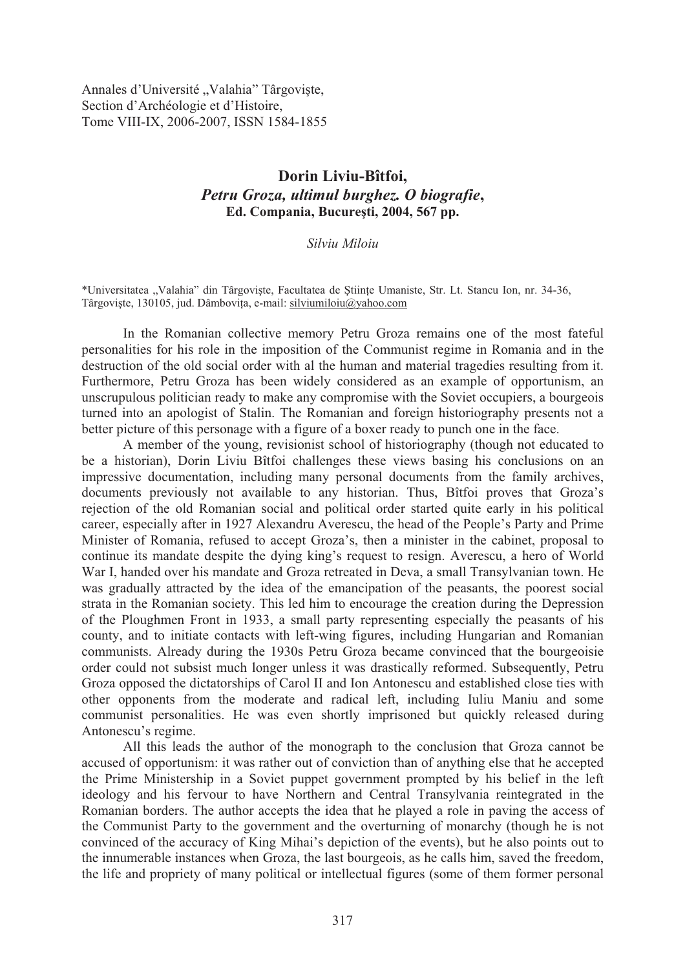Annales d'Université "Valahia" Târgoviște, Section d'Archéologie et d'Histoire, Tome VIII-IX, 2006-2007, ISSN 1584-1855

## **Dorin Liviu-Bîtfoi,**  *Petru Groza, ultimul burghez. O biografie***, Ed. Compania, Bucure ti, 2004, 567 pp.**

*Silviu Miloiu* 

\*Universitatea "Valahia" din Târgoviste, Facultatea de Stiinte Umaniste, Str. Lt. Stancu Ion, nr. 34-36, Târgoviște, 130105, jud. Dâmbovița, e-mail: silviumiloiu@yahoo.com

In the Romanian collective memory Petru Groza remains one of the most fateful personalities for his role in the imposition of the Communist regime in Romania and in the destruction of the old social order with al the human and material tragedies resulting from it. Furthermore, Petru Groza has been widely considered as an example of opportunism, an unscrupulous politician ready to make any compromise with the Soviet occupiers, a bourgeois turned into an apologist of Stalin. The Romanian and foreign historiography presents not a better picture of this personage with a figure of a boxer ready to punch one in the face.

A member of the young, revisionist school of historiography (though not educated to be a historian), Dorin Liviu Bîtfoi challenges these views basing his conclusions on an impressive documentation, including many personal documents from the family archives, documents previously not available to any historian. Thus, Bîtfoi proves that Groza's rejection of the old Romanian social and political order started quite early in his political career, especially after in 1927 Alexandru Averescu, the head of the People's Party and Prime Minister of Romania, refused to accept Groza's, then a minister in the cabinet, proposal to continue its mandate despite the dying king's request to resign. Averescu, a hero of World War I, handed over his mandate and Groza retreated in Deva, a small Transylvanian town. He was gradually attracted by the idea of the emancipation of the peasants, the poorest social strata in the Romanian society. This led him to encourage the creation during the Depression of the Ploughmen Front in 1933, a small party representing especially the peasants of his county, and to initiate contacts with left-wing figures, including Hungarian and Romanian communists. Already during the 1930s Petru Groza became convinced that the bourgeoisie order could not subsist much longer unless it was drastically reformed. Subsequently, Petru Groza opposed the dictatorships of Carol II and Ion Antonescu and established close ties with other opponents from the moderate and radical left, including Iuliu Maniu and some communist personalities. He was even shortly imprisoned but quickly released during Antonescu's regime.

All this leads the author of the monograph to the conclusion that Groza cannot be accused of opportunism: it was rather out of conviction than of anything else that he accepted the Prime Ministership in a Soviet puppet government prompted by his belief in the left ideology and his fervour to have Northern and Central Transylvania reintegrated in the Romanian borders. The author accepts the idea that he played a role in paving the access of the Communist Party to the government and the overturning of monarchy (though he is not convinced of the accuracy of King Mihai's depiction of the events), but he also points out to the innumerable instances when Groza, the last bourgeois, as he calls him, saved the freedom, the life and propriety of many political or intellectual figures (some of them former personal